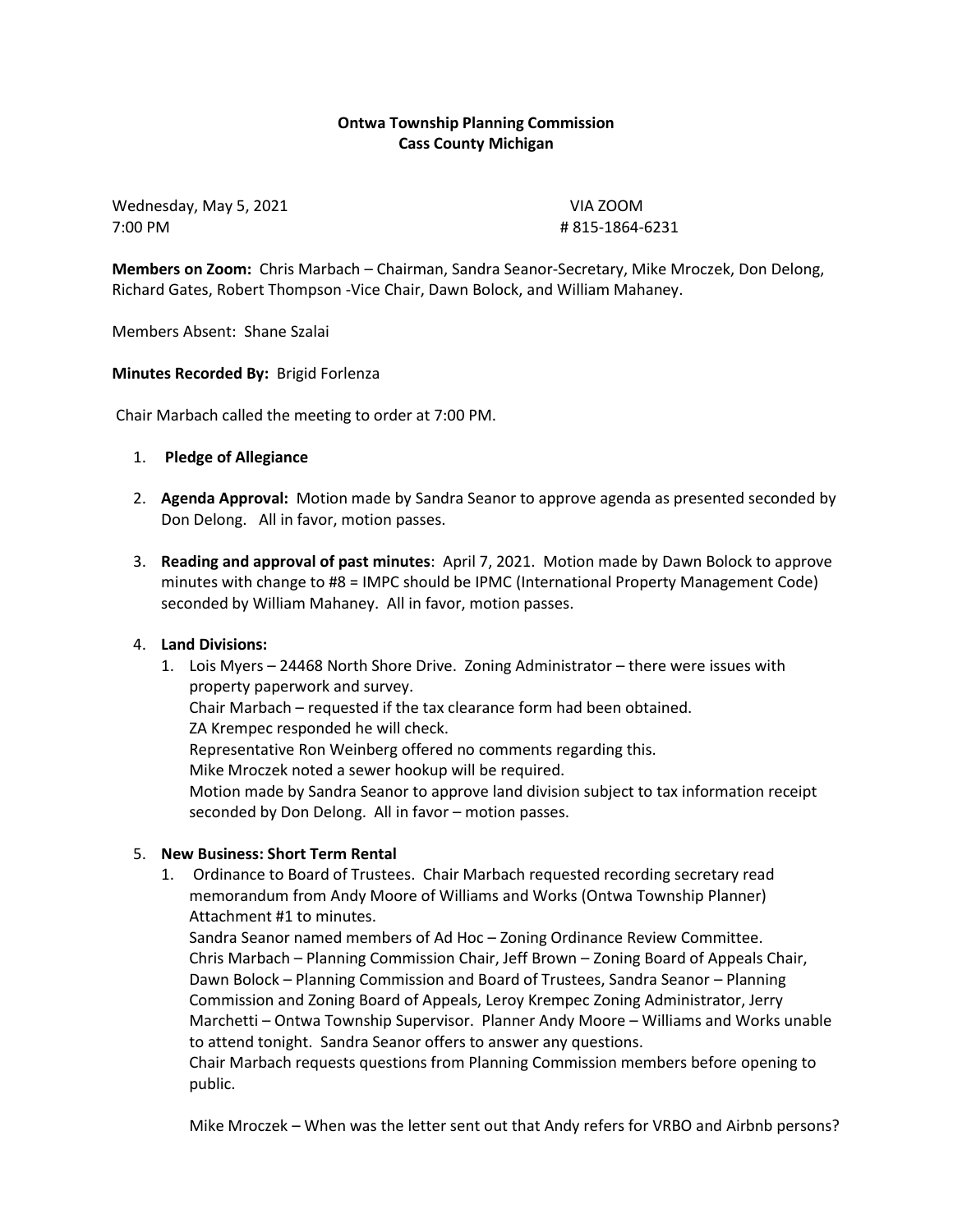# **Ontwa Township Planning Commission Cass County Michigan**

Wednesday, May 5, 2021 VIA ZOOM 7:00 PM # 815-1864-6231

**Members on Zoom:** Chris Marbach – Chairman, Sandra Seanor-Secretary, Mike Mroczek, Don Delong, Richard Gates, Robert Thompson -Vice Chair, Dawn Bolock, and William Mahaney.

Members Absent: Shane Szalai

### **Minutes Recorded By:** Brigid Forlenza

Chair Marbach called the meeting to order at 7:00 PM.

### 1. **Pledge of Allegiance**

- 2. **Agenda Approval:** Motion made by Sandra Seanor to approve agenda as presented seconded by Don Delong. All in favor, motion passes.
- 3. **Reading and approval of past minutes**: April 7, 2021. Motion made by Dawn Bolock to approve minutes with change to #8 = IMPC should be IPMC (International Property Management Code) seconded by William Mahaney. All in favor, motion passes.

## 4. **Land Divisions:**

1. Lois Myers – 24468 North Shore Drive. Zoning Administrator – there were issues with property paperwork and survey. Chair Marbach – requested if the tax clearance form had been obtained. ZA Krempec responded he will check. Representative Ron Weinberg offered no comments regarding this. Mike Mroczek noted a sewer hookup will be required. Motion made by Sandra Seanor to approve land division subject to tax information receipt seconded by Don Delong. All in favor – motion passes.

## 5. **New Business: Short Term Rental**

1. Ordinance to Board of Trustees. Chair Marbach requested recording secretary read memorandum from Andy Moore of Williams and Works (Ontwa Township Planner) Attachment #1 to minutes.

Sandra Seanor named members of Ad Hoc – Zoning Ordinance Review Committee. Chris Marbach – Planning Commission Chair, Jeff Brown – Zoning Board of Appeals Chair, Dawn Bolock – Planning Commission and Board of Trustees, Sandra Seanor – Planning Commission and Zoning Board of Appeals, Leroy Krempec Zoning Administrator, Jerry Marchetti – Ontwa Township Supervisor. Planner Andy Moore – Williams and Works unable to attend tonight. Sandra Seanor offers to answer any questions.

Chair Marbach requests questions from Planning Commission members before opening to public.

Mike Mroczek – When was the letter sent out that Andy refers for VRBO and Airbnb persons?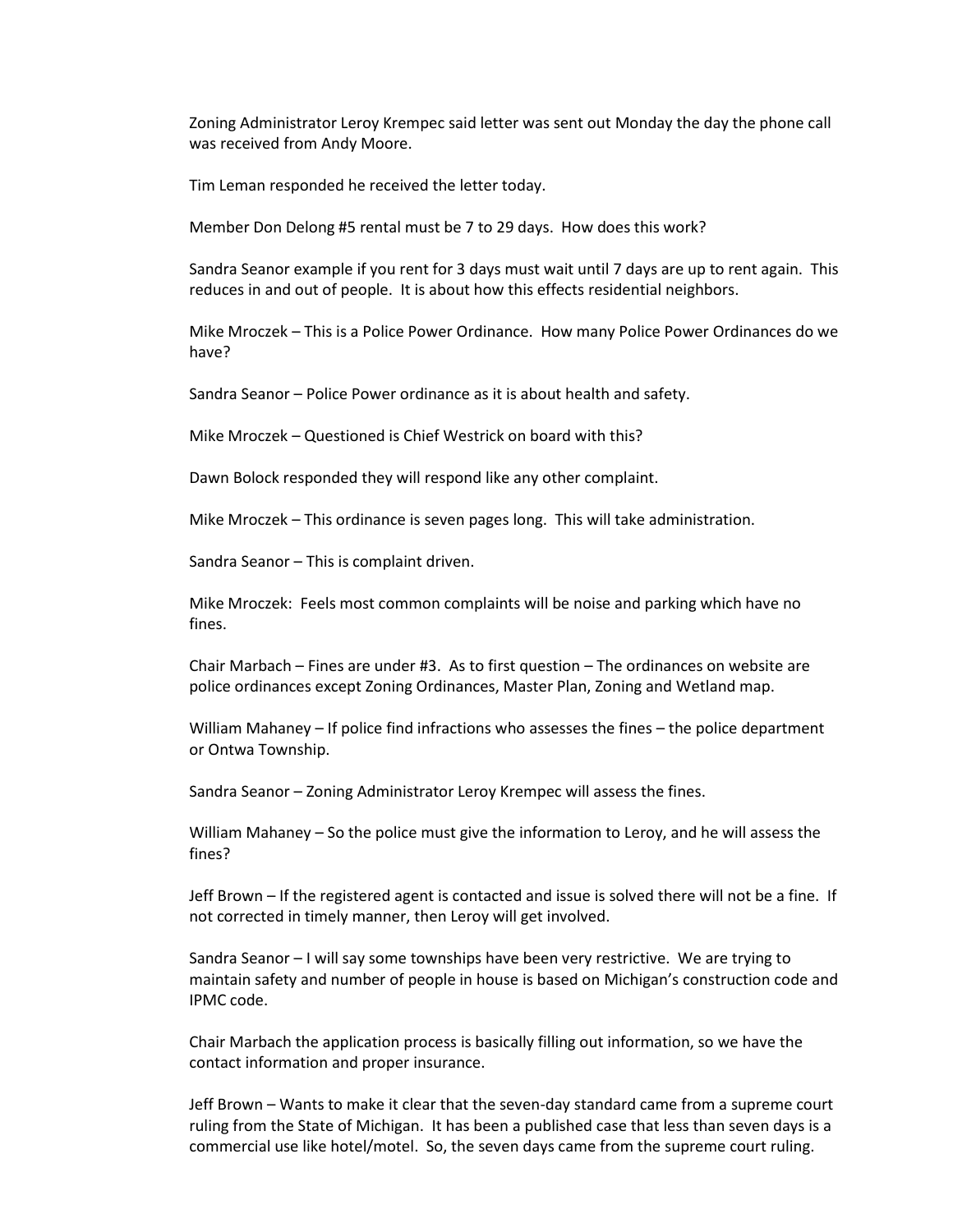Zoning Administrator Leroy Krempec said letter was sent out Monday the day the phone call was received from Andy Moore.

Tim Leman responded he received the letter today.

Member Don Delong #5 rental must be 7 to 29 days. How does this work?

Sandra Seanor example if you rent for 3 days must wait until 7 days are up to rent again. This reduces in and out of people. It is about how this effects residential neighbors.

Mike Mroczek – This is a Police Power Ordinance. How many Police Power Ordinances do we have?

Sandra Seanor – Police Power ordinance as it is about health and safety.

Mike Mroczek – Questioned is Chief Westrick on board with this?

Dawn Bolock responded they will respond like any other complaint.

Mike Mroczek – This ordinance is seven pages long. This will take administration.

Sandra Seanor – This is complaint driven.

Mike Mroczek: Feels most common complaints will be noise and parking which have no fines.

Chair Marbach – Fines are under #3. As to first question – The ordinances on website are police ordinances except Zoning Ordinances, Master Plan, Zoning and Wetland map.

William Mahaney – If police find infractions who assesses the fines – the police department or Ontwa Township.

Sandra Seanor – Zoning Administrator Leroy Krempec will assess the fines.

William Mahaney – So the police must give the information to Leroy, and he will assess the fines?

Jeff Brown – If the registered agent is contacted and issue is solved there will not be a fine. If not corrected in timely manner, then Leroy will get involved.

Sandra Seanor – I will say some townships have been very restrictive. We are trying to maintain safety and number of people in house is based on Michigan's construction code and IPMC code.

Chair Marbach the application process is basically filling out information, so we have the contact information and proper insurance.

Jeff Brown – Wants to make it clear that the seven-day standard came from a supreme court ruling from the State of Michigan. It has been a published case that less than seven days is a commercial use like hotel/motel. So, the seven days came from the supreme court ruling.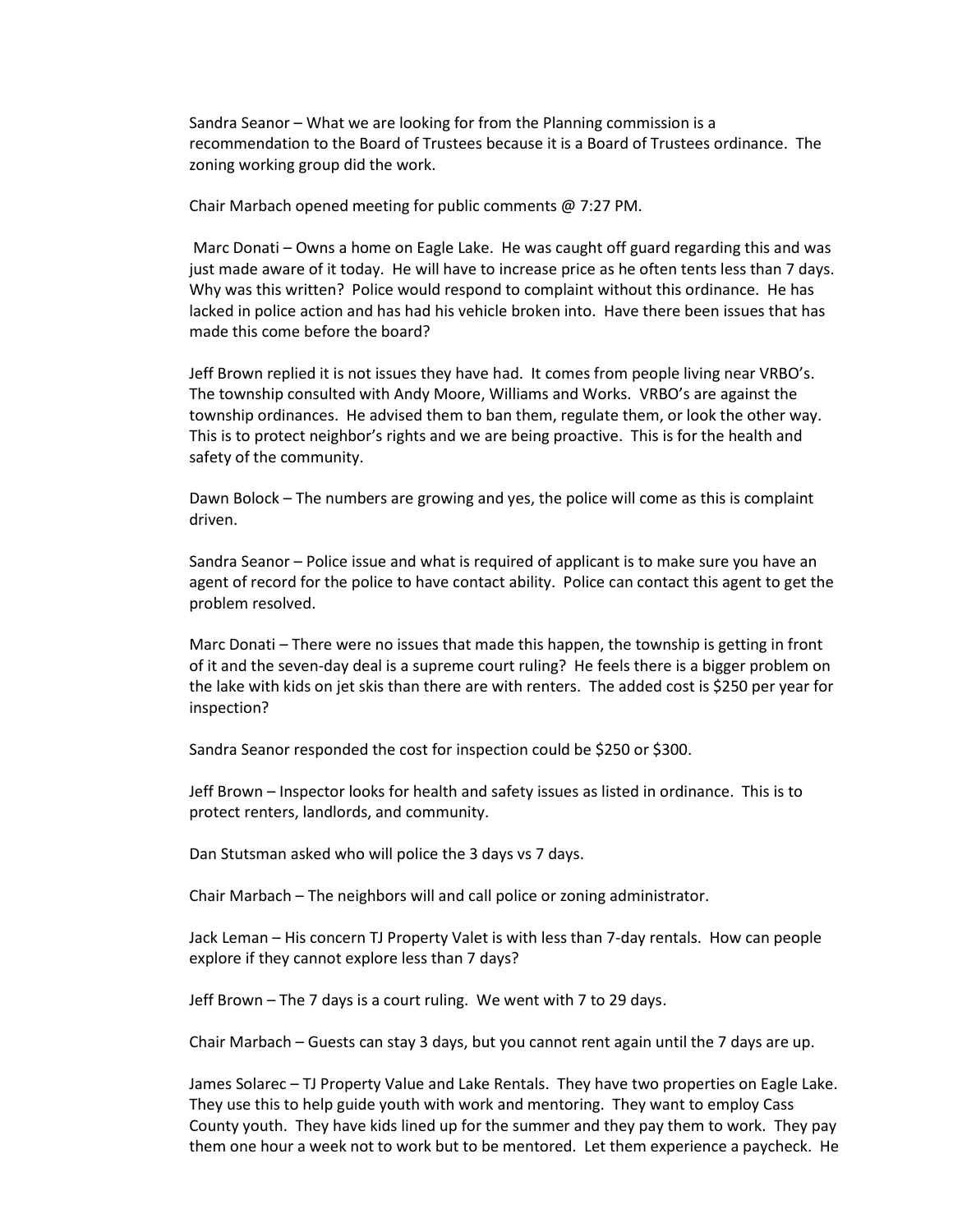Sandra Seanor – What we are looking for from the Planning commission is a recommendation to the Board of Trustees because it is a Board of Trustees ordinance. The zoning working group did the work.

Chair Marbach opened meeting for public comments @ 7:27 PM.

Marc Donati – Owns a home on Eagle Lake. He was caught off guard regarding this and was just made aware of it today. He will have to increase price as he often tents less than 7 days. Why was this written? Police would respond to complaint without this ordinance. He has lacked in police action and has had his vehicle broken into. Have there been issues that has made this come before the board?

Jeff Brown replied it is not issues they have had. It comes from people living near VRBO's. The township consulted with Andy Moore, Williams and Works. VRBO's are against the township ordinances. He advised them to ban them, regulate them, or look the other way. This is to protect neighbor's rights and we are being proactive. This is for the health and safety of the community.

Dawn Bolock – The numbers are growing and yes, the police will come as this is complaint driven.

Sandra Seanor – Police issue and what is required of applicant is to make sure you have an agent of record for the police to have contact ability. Police can contact this agent to get the problem resolved.

Marc Donati – There were no issues that made this happen, the township is getting in front of it and the seven-day deal is a supreme court ruling? He feels there is a bigger problem on the lake with kids on jet skis than there are with renters. The added cost is \$250 per year for inspection?

Sandra Seanor responded the cost for inspection could be \$250 or \$300.

Jeff Brown – Inspector looks for health and safety issues as listed in ordinance. This is to protect renters, landlords, and community.

Dan Stutsman asked who will police the 3 days vs 7 days.

Chair Marbach – The neighbors will and call police or zoning administrator.

Jack Leman – His concern TJ Property Valet is with less than 7-day rentals. How can people explore if they cannot explore less than 7 days?

Jeff Brown – The 7 days is a court ruling. We went with 7 to 29 days.

Chair Marbach – Guests can stay 3 days, but you cannot rent again until the 7 days are up.

James Solarec – TJ Property Value and Lake Rentals. They have two properties on Eagle Lake. They use this to help guide youth with work and mentoring. They want to employ Cass County youth. They have kids lined up for the summer and they pay them to work. They pay them one hour a week not to work but to be mentored. Let them experience a paycheck. He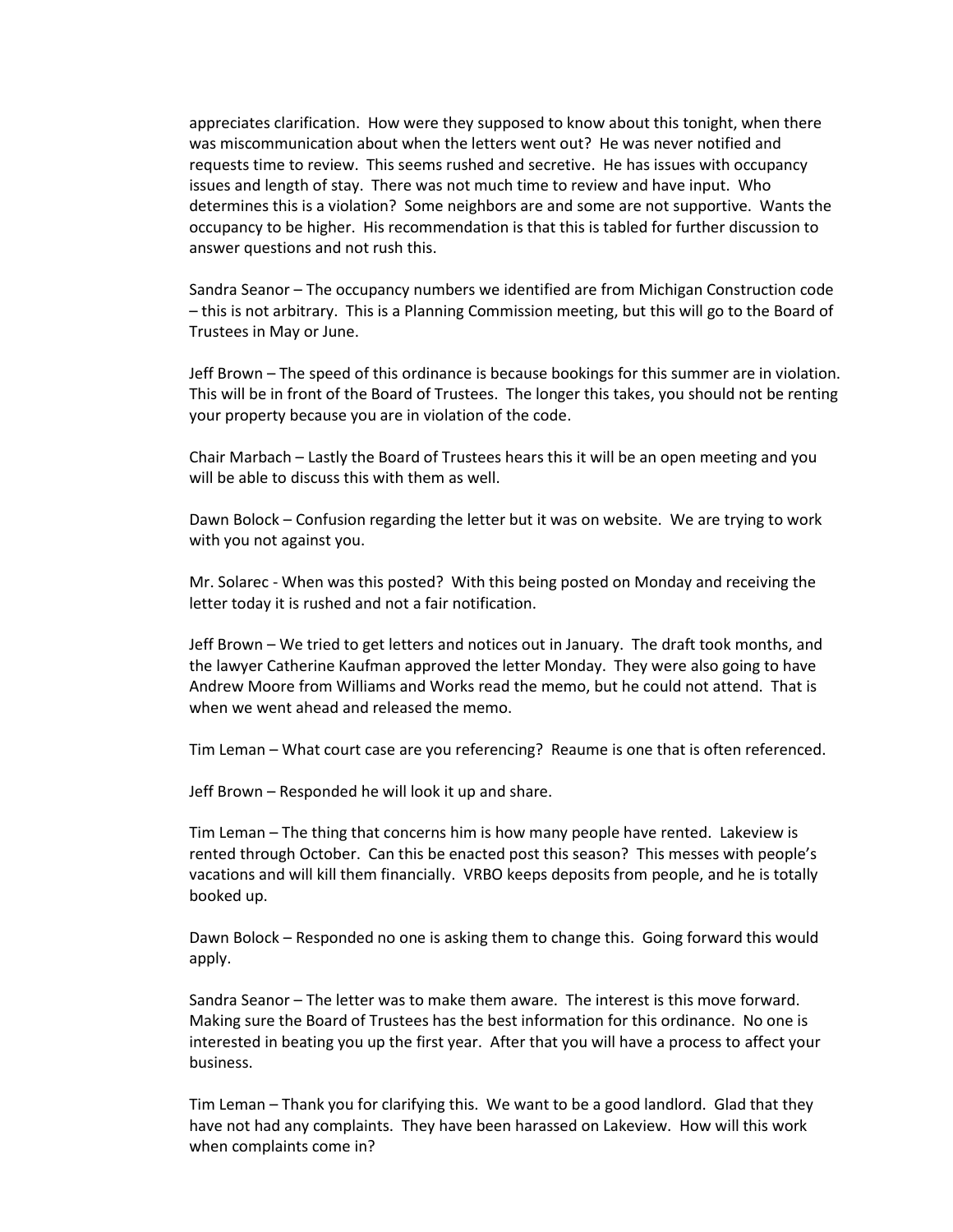appreciates clarification. How were they supposed to know about this tonight, when there was miscommunication about when the letters went out? He was never notified and requests time to review. This seems rushed and secretive. He has issues with occupancy issues and length of stay. There was not much time to review and have input. Who determines this is a violation? Some neighbors are and some are not supportive. Wants the occupancy to be higher. His recommendation is that this is tabled for further discussion to answer questions and not rush this.

Sandra Seanor – The occupancy numbers we identified are from Michigan Construction code – this is not arbitrary. This is a Planning Commission meeting, but this will go to the Board of Trustees in May or June.

Jeff Brown – The speed of this ordinance is because bookings for this summer are in violation. This will be in front of the Board of Trustees. The longer this takes, you should not be renting your property because you are in violation of the code.

Chair Marbach – Lastly the Board of Trustees hears this it will be an open meeting and you will be able to discuss this with them as well.

Dawn Bolock – Confusion regarding the letter but it was on website. We are trying to work with you not against you.

Mr. Solarec - When was this posted? With this being posted on Monday and receiving the letter today it is rushed and not a fair notification.

Jeff Brown – We tried to get letters and notices out in January. The draft took months, and the lawyer Catherine Kaufman approved the letter Monday. They were also going to have Andrew Moore from Williams and Works read the memo, but he could not attend. That is when we went ahead and released the memo.

Tim Leman – What court case are you referencing? Reaume is one that is often referenced.

Jeff Brown – Responded he will look it up and share.

Tim Leman – The thing that concerns him is how many people have rented. Lakeview is rented through October. Can this be enacted post this season? This messes with people's vacations and will kill them financially. VRBO keeps deposits from people, and he is totally booked up.

Dawn Bolock – Responded no one is asking them to change this. Going forward this would apply.

Sandra Seanor – The letter was to make them aware. The interest is this move forward. Making sure the Board of Trustees has the best information for this ordinance. No one is interested in beating you up the first year. After that you will have a process to affect your business.

Tim Leman – Thank you for clarifying this. We want to be a good landlord. Glad that they have not had any complaints. They have been harassed on Lakeview. How will this work when complaints come in?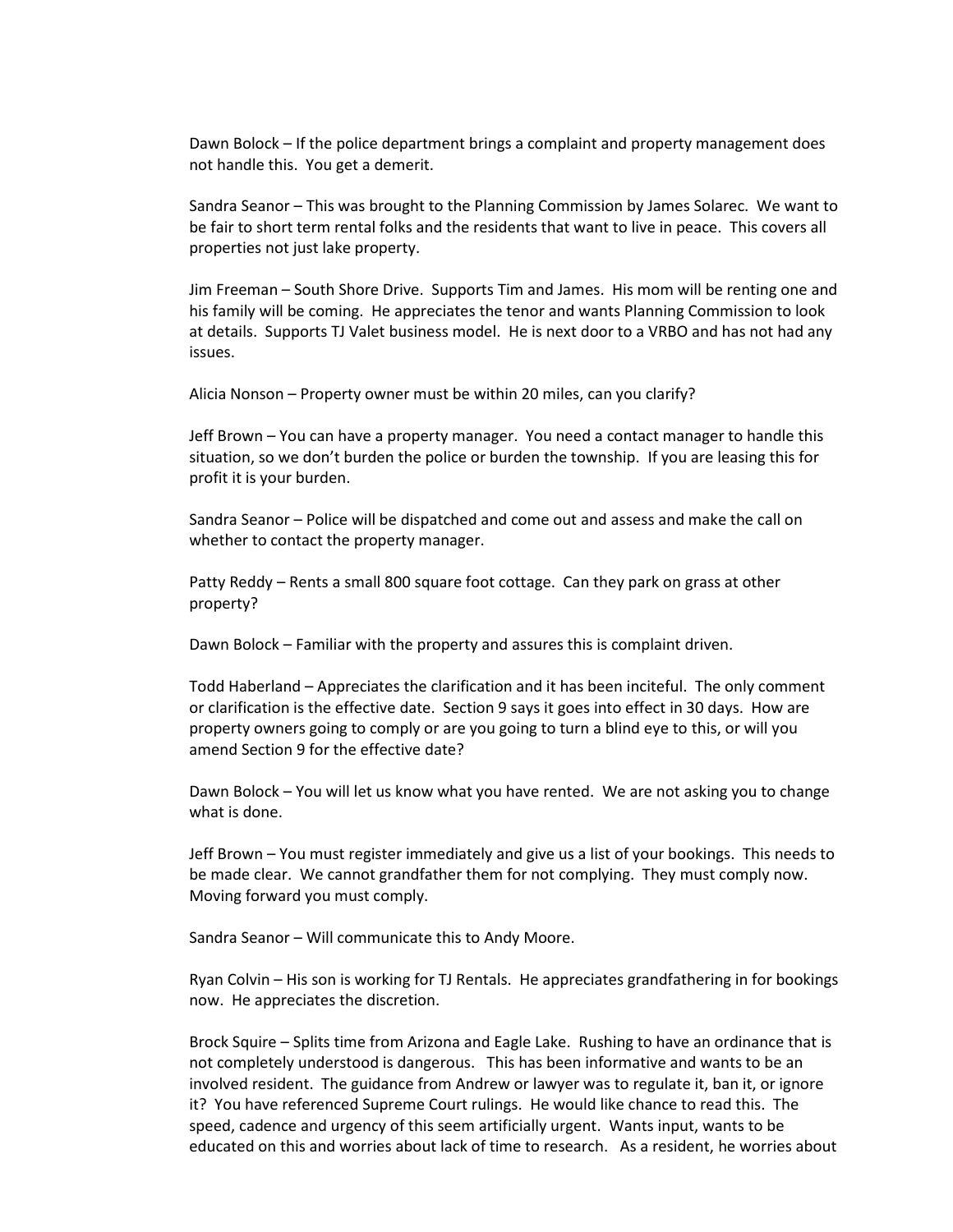Dawn Bolock – If the police department brings a complaint and property management does not handle this. You get a demerit.

Sandra Seanor – This was brought to the Planning Commission by James Solarec. We want to be fair to short term rental folks and the residents that want to live in peace. This covers all properties not just lake property.

Jim Freeman – South Shore Drive. Supports Tim and James. His mom will be renting one and his family will be coming. He appreciates the tenor and wants Planning Commission to look at details. Supports TJ Valet business model. He is next door to a VRBO and has not had any issues.

Alicia Nonson – Property owner must be within 20 miles, can you clarify?

Jeff Brown – You can have a property manager. You need a contact manager to handle this situation, so we don't burden the police or burden the township. If you are leasing this for profit it is your burden.

Sandra Seanor – Police will be dispatched and come out and assess and make the call on whether to contact the property manager.

Patty Reddy – Rents a small 800 square foot cottage. Can they park on grass at other property?

Dawn Bolock – Familiar with the property and assures this is complaint driven.

Todd Haberland – Appreciates the clarification and it has been inciteful. The only comment or clarification is the effective date. Section 9 says it goes into effect in 30 days. How are property owners going to comply or are you going to turn a blind eye to this, or will you amend Section 9 for the effective date?

Dawn Bolock – You will let us know what you have rented. We are not asking you to change what is done.

Jeff Brown – You must register immediately and give us a list of your bookings. This needs to be made clear. We cannot grandfather them for not complying. They must comply now. Moving forward you must comply.

Sandra Seanor – Will communicate this to Andy Moore.

Ryan Colvin – His son is working for TJ Rentals. He appreciates grandfathering in for bookings now. He appreciates the discretion.

Brock Squire – Splits time from Arizona and Eagle Lake. Rushing to have an ordinance that is not completely understood is dangerous. This has been informative and wants to be an involved resident. The guidance from Andrew or lawyer was to regulate it, ban it, or ignore it? You have referenced Supreme Court rulings. He would like chance to read this. The speed, cadence and urgency of this seem artificially urgent. Wants input, wants to be educated on this and worries about lack of time to research. As a resident, he worries about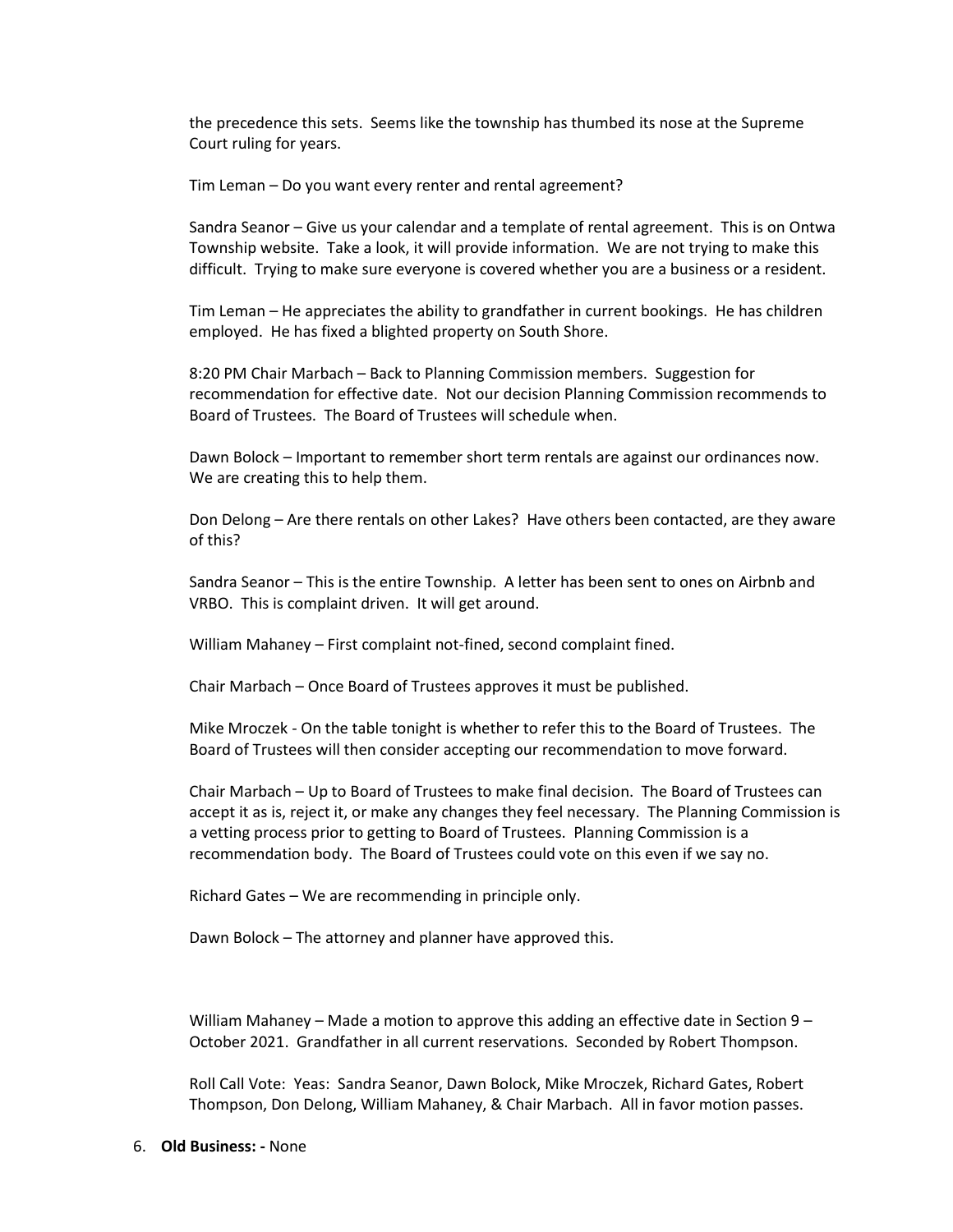the precedence this sets. Seems like the township has thumbed its nose at the Supreme Court ruling for years.

Tim Leman – Do you want every renter and rental agreement?

Sandra Seanor – Give us your calendar and a template of rental agreement. This is on Ontwa Township website. Take a look, it will provide information. We are not trying to make this difficult. Trying to make sure everyone is covered whether you are a business or a resident.

Tim Leman – He appreciates the ability to grandfather in current bookings. He has children employed. He has fixed a blighted property on South Shore.

8:20 PM Chair Marbach – Back to Planning Commission members. Suggestion for recommendation for effective date. Not our decision Planning Commission recommends to Board of Trustees. The Board of Trustees will schedule when.

Dawn Bolock – Important to remember short term rentals are against our ordinances now. We are creating this to help them.

Don Delong – Are there rentals on other Lakes? Have others been contacted, are they aware of this?

Sandra Seanor – This is the entire Township. A letter has been sent to ones on Airbnb and VRBO. This is complaint driven. It will get around.

William Mahaney – First complaint not-fined, second complaint fined.

Chair Marbach – Once Board of Trustees approves it must be published.

Mike Mroczek - On the table tonight is whether to refer this to the Board of Trustees. The Board of Trustees will then consider accepting our recommendation to move forward.

Chair Marbach – Up to Board of Trustees to make final decision. The Board of Trustees can accept it as is, reject it, or make any changes they feel necessary. The Planning Commission is a vetting process prior to getting to Board of Trustees. Planning Commission is a recommendation body. The Board of Trustees could vote on this even if we say no.

Richard Gates – We are recommending in principle only.

Dawn Bolock – The attorney and planner have approved this.

William Mahaney – Made a motion to approve this adding an effective date in Section 9 – October 2021. Grandfather in all current reservations. Seconded by Robert Thompson.

Roll Call Vote: Yeas: Sandra Seanor, Dawn Bolock, Mike Mroczek, Richard Gates, Robert Thompson, Don Delong, William Mahaney, & Chair Marbach. All in favor motion passes.